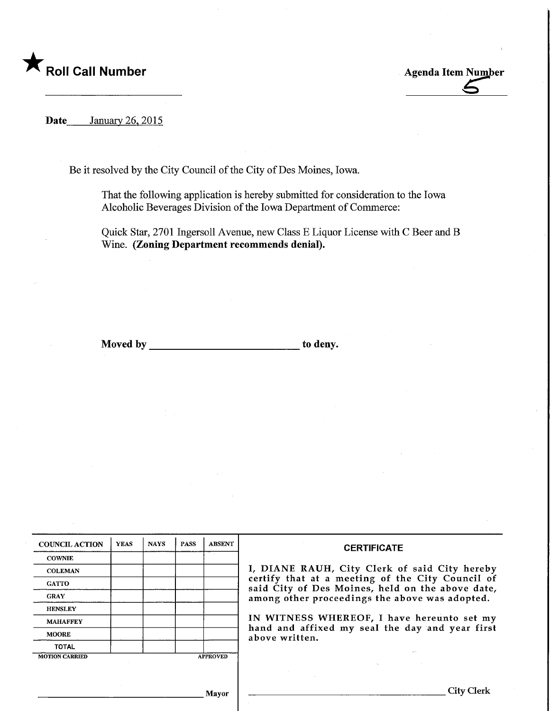

Date January 26, 2015

Be it resolved by the City Council of the City of Des Moines, Iowa.

That the following application is hereby submitted for consideration to the Iowa Alcoholic Beverages Division of the Iowa Department of Commerce:

Quick Star, 2701 Ingersoll Avenue, new Class E Liquor License with C Beer and B Wine. (Zoning Department recommends denial).

Moved by to deny.

| <b>COUNCIL ACTION</b> | <b>YEAS</b> | <b>NAYS</b> | <b>PASS</b> | <b>ABSENT</b>   | <b>CERTIFICATE</b>                                                                                                                                                                                                                                                                                                         |
|-----------------------|-------------|-------------|-------------|-----------------|----------------------------------------------------------------------------------------------------------------------------------------------------------------------------------------------------------------------------------------------------------------------------------------------------------------------------|
| <b>COWNIE</b>         |             |             |             |                 | I, DIANE RAUH, City Clerk of said City hereby<br>certify that at a meeting of the City Council of<br>said City of Des Moines, held on the above date,<br>among other proceedings the above was adopted.<br>IN WITNESS WHEREOF, I have hereunto set my<br>hand and affixed my seal the day and year first<br>above written. |
| <b>COLEMAN</b>        |             |             |             |                 |                                                                                                                                                                                                                                                                                                                            |
| <b>GATTO</b>          |             |             |             |                 |                                                                                                                                                                                                                                                                                                                            |
| <b>GRAY</b>           |             |             |             |                 |                                                                                                                                                                                                                                                                                                                            |
| <b>HENSLEY</b>        |             |             |             |                 |                                                                                                                                                                                                                                                                                                                            |
| <b>MAHAFFEY</b>       |             |             |             |                 |                                                                                                                                                                                                                                                                                                                            |
| <b>MOORE</b>          |             |             |             |                 |                                                                                                                                                                                                                                                                                                                            |
| <b>TOTAL</b>          |             |             |             |                 |                                                                                                                                                                                                                                                                                                                            |
| <b>MOTION CARRIED</b> |             |             |             | <b>APPROVED</b> |                                                                                                                                                                                                                                                                                                                            |
|                       |             |             |             |                 |                                                                                                                                                                                                                                                                                                                            |
|                       |             |             |             |                 |                                                                                                                                                                                                                                                                                                                            |
| Mayor                 |             |             |             |                 | City (                                                                                                                                                                                                                                                                                                                     |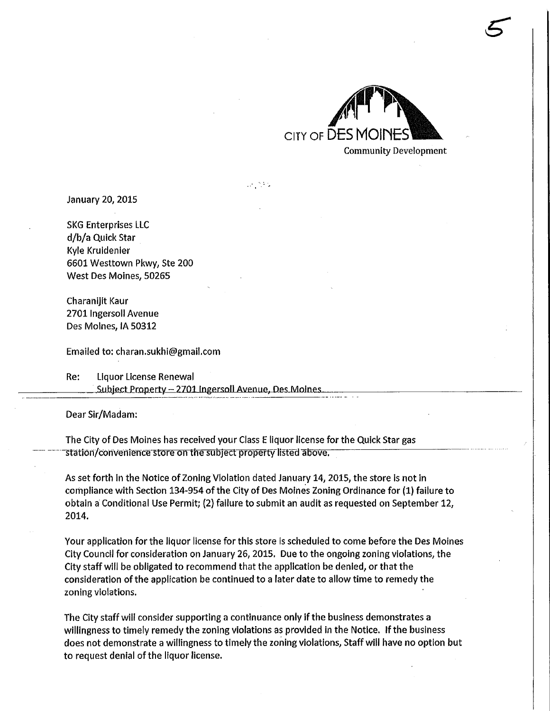

5

January 20,2015

SKG Enterprises LLC d/b/a Quick Star Kyle Kruidenier 6601 Westtown Pkwy, Ste 200 West Des Moines, 50265

Charanijit Kaur 2701 Ingersoll Avenue Des Molnes, IA 50312

Emailed to: charan.sukhi@gmail.com

Re: Liquor License Renewal Subject Property - 2701 Ingersoll Avenue, Des Moines

Dear Sir/Madam:

The City of Des Moines has received your Class E liquor license for the Quick Star gas station/convenience store on the subject property-listed above.

As set forth in the Notice of Zoning Violation dated January 14, 2015, the store is not in compliance with Section 134-954 of the City of Des Molnes Zoning Ordinance for (1) failure to obtain a Conditional Use Permit; (2) failure to submit an audit as requested on September 12, 2014.

 $\mathcal{L}^{\text{max}}_{\text{max}}$ 

Your application for the liquor license for this store is scheduled to come before the Des Moines City Council for consideration on January 26,2015, Due to the ongoing zoning violations, the City staff will be obligated to recommend that the application be denied, or that the consideration of the application be continued to a later date to allow time to remedy the zoning violations.

The City staff will consider supporting a continuance only if the business demonstrates a willingness to timely remedy the zoning violations as provided in the Notice. If the business does not demonstrate a willingness to timely the zoning violations, Staff will have no option but to request denial of the liquor license.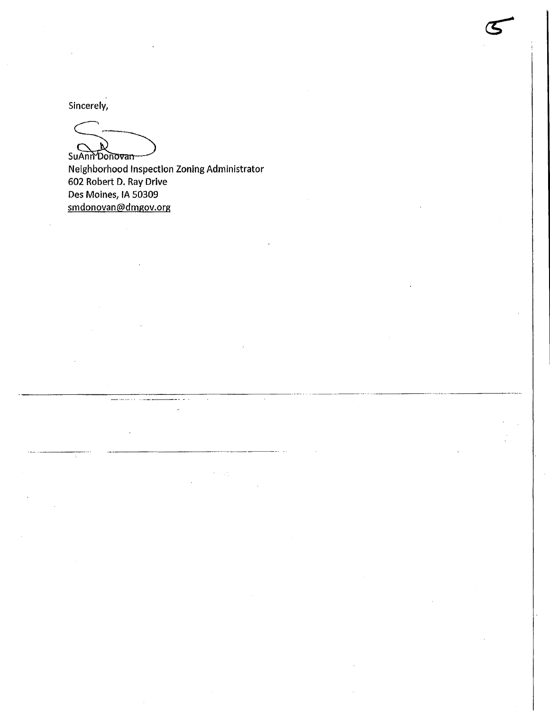Sincerely,

ħ SuAnn Donovan

 $\epsilon \sim 10$ 

Neighborhood Inspection Zoning Administrator 602 Robert D. Ray Drive Des Moines, IA 50309 smdonovan@dmgov.org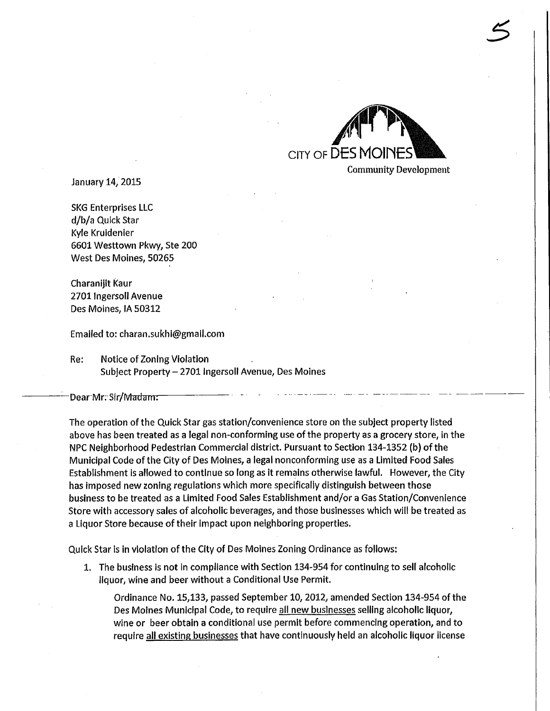

Community Development

 $\tilde{\mathcal{S}}$ 

January 14,2015

SKG Enterprises LLC d/b/a Quick Star Kyle Kruidenier 6601 Westtown Pkwy, Ste 200 West Des Moines, 50265

Charanijit Kaur 2701 Ingersoll Avenue Des Moines, IA 50312

Emaifed to: charan.sukhi@gmall.com

Re: Notice of Zoning Violation Subject Property - 2701 Ingersolt Avenue, Des Moines

Dear Mr. Sir/Madam:

The operation of the Quick Star gas station/convenience store on the subject property listed above has been treated as a legal non-conforming use of the property as a grocery store, in the NPC Neighborhood Pedestrian Commercial district. Pursuant to Section 134-1352 (b) of the Municipal Code of the City of Des Moines, a legal nonconforming use as a Limited Food Sales Establishment is allowed to continue so long as it remains otherwise lawful. However, the City has imposed new zoning regulations which more specifically distinguish between those business to be treated as a Limited Food Sales Establishment and/or a Gas Station/Convenience Store with accessory sales of alcoholic beverages, and those businesses which will be treated as a Liquor Store because of their impact upon neighboring properties.

Quick Star is in violation of the City of Des Moines Zoning Ordinance as follows:

1. The business is not in compliance with Section 134-954 for continuing to sell alcoholic liquor, wine and beer without a Conditional Use Permit.

Ordinance No. 15,133, passed September 10,2012, amended Section 134-954 of the Des Moines Municipal Code, to require all new businesses selling alcoholic liquor, wine or beer obtain a conditional use permit before commencing operation, and to require all existing businesses that have continuously held an alcoholic liquor license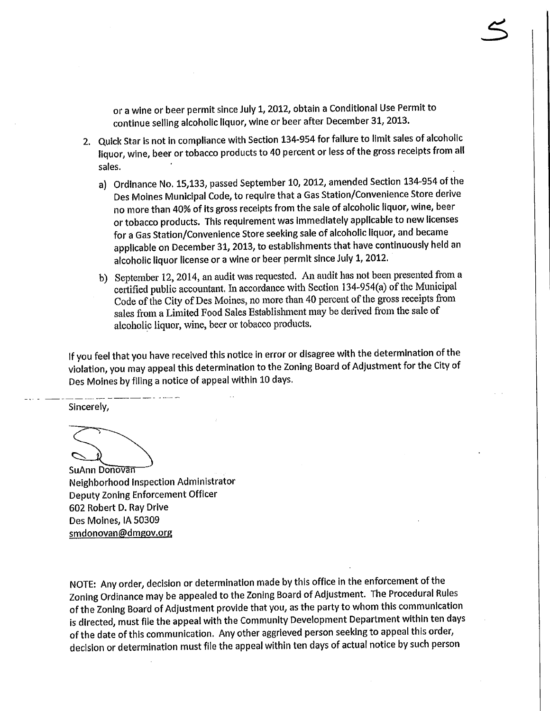or a wine or beer permit since July 1,2012, obtain a Conditional Use Permit to continue selling alcoholic liquor, wine or beer after December 31, 2013.

- 2. Quick Star is not in compliance with Section 134-954 for failure to limit sales of alcoholic liquor, wine, beer or tobacco products to 40 percent or less of the gross receipts from all sales.
	- a) Ordinance No, 15,133, passed September 10, 2012, amended Section 134-954 of the Des Moines Municipal Code, to require that a Gas Station/Convenience Store derive no more than 40% of its gross receipts from the sale of alcoholic liquor, wine, beer or tobacco products. This requirement was immediately applicable to new licenses for a Gas Station/Convenlence Store seeking sale of alcoholic liquor, and became applicable on December 31, 2013, to establishments that have continuously held an alcoholic liquor license or a wine or beer permit since July 1, 2012.
	- b) September 12,2014, an audit was requested. An audit has not been presented from a certified public accountant, In accordance with Section 134-954(a) of the Municipal Code of the City of Des Moines, no more than 40 percent of the gross receipts from sales from a Limited Food Sales Establishment may be derived from the sale of alcoholic liquor, wine, beer or tobacco products.

If you feel that you have received this notice in error or disagree with the determination of the violation, you may appeal this determination to the Zoning Board of Adjustment for the City of Des Moines by filing a notice of appeal within 10 days.

Sincerely,

SuAnn Donovan Neighborhood Inspection Administrator Deputy Zoning Enforcement Officer 602 Robert D. Ray Drive Des Moines, IA 50309 smdonovan@dmgov.org

NOTE: Any order, decision or determination made by this office in the enforcement of the Zoning Ordinance may be appealed to the Zoning Board of Adjustment. The Procedural Rules of the Zoning Board of Adjustment provide that you, as the party to whom this communication is directed, must file the appeal with the Community Development Department within ten days of the date of this communication. Any other aggrieved person seeking to appeal this order, decision or determination must file the appeal within ten days of actual notice by such person